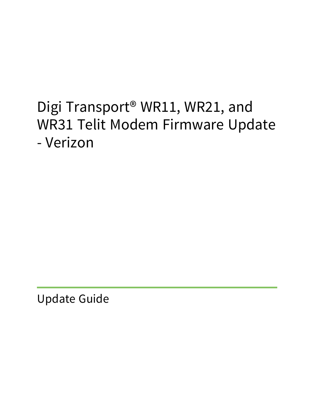# Digi Transport® WR11, WR21, and WR31 Telit Modem Firmware Update - Verizon

Update Guide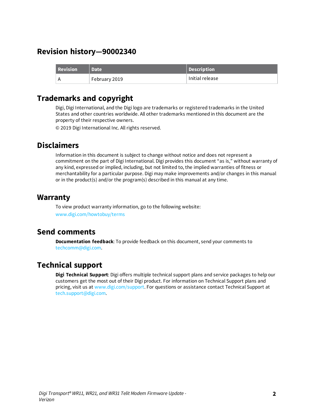### **Revision history—90002340**

| <b>Revision</b> | <b>NDate</b>  | Description     |
|-----------------|---------------|-----------------|
|                 | February 2019 | Initial release |

### **Trademarks and copyright**

Digi, Digi International, and the Digi logo are trademarks or registered trademarks in the United States and other countries worldwide. All other trademarks mentioned in this document are the property of their respective owners.

© 2019 Digi International Inc. All rights reserved.

### **Disclaimers**

Information in this document is subject to change without notice and does not represent a commitment on the part of Digi International. Digi provides this document "as is," without warranty of any kind, expressed or implied, including, but not limited to, the implied warranties of fitness or merchantability for a particular purpose. Digi may make improvements and/or changes in this manual or in the product(s) and/or the program(s) described in this manual at any time.

### **Warranty**

To view product warranty information, go to the following website: [www.digi.com/howtobuy/terms](http://www.digi.com/howtobuy/terms)

### **Send comments**

**Documentation feedback**: To provide feedback on this document, send your comments to [techcomm@digi.com](mailto:techcomm@digi.com).

### **Technical support**

**Digi Technical Support**: Digi offers multiple technical support plans and service packages to help our customers get the most out of their Digi product. For information on Technical Support plans and pricing, visit us at [www.digi.com/support](http://www.digi.com/support). For questions or assistance contact Technical Support at [tech.support@digi.com.](mailto:tech.support@digi.com)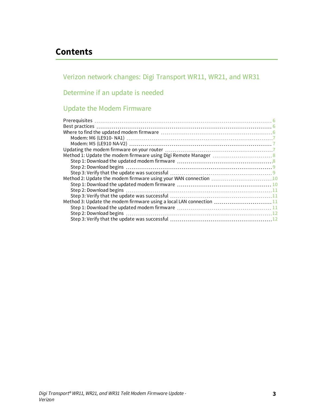# **Contents**

Verizon network changes: Digi [Transport](#page-3-0) WR11, WR21, and WR31

### [Determine](#page-4-0) if an update is needed

### Update the Modem [Firmware](#page-5-0)

| Method 3: Update the modem firmware using a local LAN connection 11 |
|---------------------------------------------------------------------|
|                                                                     |
|                                                                     |
|                                                                     |
|                                                                     |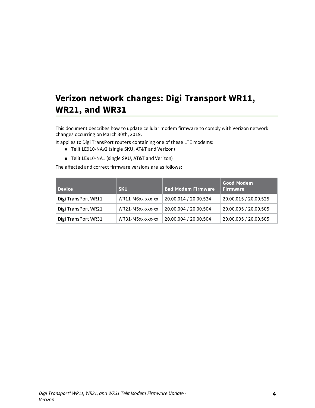# <span id="page-3-0"></span>**Verizon network changes: Digi Transport WR11, WR21, and WR31**

This document describes how to update cellular modem firmware to comply with Verizon network changes occurring on March 30th, 2019.

It applies to Digi TransPort routers containing one of these LTE modems:

- Telit LE910-NAv2 (single SKU, AT&T and Verizon)
- Telit LE910-NA1 (single SKU, AT&T and Verizon)

The affected and correct firmware versions are as follows:

| <b>Device</b>       | <b>SKU</b>       | <b>Bad Modem Firmware</b> | <b>Good Modem</b><br><b>Firmware</b> |
|---------------------|------------------|---------------------------|--------------------------------------|
| Digi TransPort WR11 | WR11-M6xx-xxx-xx | 20.00.014 / 20.00.524     | 20.00.015 / 20.00.525                |
| Digi TransPort WR21 | WR21-M5xx-xxx-xx | 20.00.004 / 20.00.504     | 20.00.005 / 20.00.505                |
| Digi TransPort WR31 | WR31-M5xx-xxx-xx | 20.00.004 / 20.00.504     | 20.00.005 / 20.00.505                |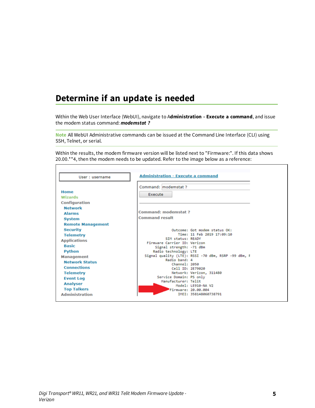# <span id="page-4-0"></span>**Determine if an update is needed**

Within the Web User Interface (WebUI), navigate to A**dministration - Execute a command**, and issue the modem status command: *modemstat ?*

**Note** All WebUI Administrative commands can be issued at the Command Line Interface (CLI) using SSH, Telnet, or serial.

Within the results, the modem firmware version will be listed next to "Firmware:". If this data shows 20.00.\*\*4, then the modem needs to be updated. Refer to the image below as a reference:

| User: username                      | <b>Administration - Execute a command</b>                            |
|-------------------------------------|----------------------------------------------------------------------|
|                                     | Command: modemstat ?                                                 |
| Home                                |                                                                      |
| Wizards                             | Execute                                                              |
| Configuration                       |                                                                      |
| <b>Network</b>                      |                                                                      |
| <b>Alarms</b>                       | Command: modemstat ?                                                 |
| <b>System</b>                       | <b>Command result</b>                                                |
| <b>Remote Management</b>            |                                                                      |
| <b>Security</b>                     | Outcome: Got modem status OK:                                        |
| <b>Telemetry</b>                    | Time: 11 Feb 2019 17:09:10                                           |
|                                     | SIM status: READY                                                    |
| <b>Applications</b><br><b>Basic</b> | Firmware Carrier ID: Verizon                                         |
|                                     | Signal strength: -71 dBm                                             |
| Python                              | Radio technology: LTE                                                |
| <b>Management</b>                   | Signal quality (LTE): RSSI -70 dBm, RSRP -99 dBm, F<br>Radio band: 4 |
| <b>Network Status</b>               | Channel: 2050                                                        |
| <b>Connections</b>                  | Cell ID: 2E79020                                                     |
| <b>Telemetry</b>                    | Network: Verizon, 311480                                             |
| <b>Event Log</b>                    | Service Domain: PS only                                              |
| <b>Analyser</b>                     | Manufacturer: Telit<br>Model: LE910-NA V2                            |
| <b>Top Talkers</b>                  | Firmware: 20.00.004                                                  |
| <b>Administration</b>               | TMET: 358148060738791                                                |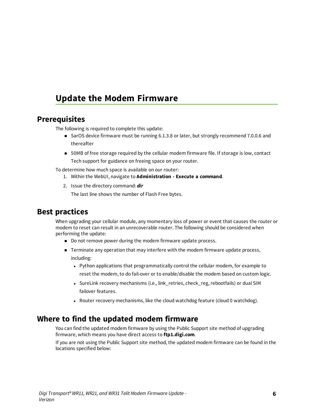# <span id="page-5-0"></span>**Update the Modem Firmware**

### <span id="page-5-1"></span>**Prerequisites**

The following is required to complete this update:

- SarOS device firmware must be running 6.1.3.8 or later, but strongly recommend 7.0.0.6 and thereafter
- 50MB of free storage required by the cellular modem firmware file. If storage is low, contact Tech support for guidance on freeing space on your router.

To determine how much space is available on our router:

- 1. Within the WebUI, navigate to **Administration - Execute a command**.
- 2. Issue the directory command: *dir*

The last line shows the number of Flash Free bytes.

### <span id="page-5-2"></span>**Best practices**

When upgrading your cellular module, any momentary loss of power or event that causes the router or modem to reset can result in an unrecoverable router. The following should be considered when performing the update:

- Do not remove power during the modem firmware update process.
- **n** Terminate any operation that may interfere with the modem firmware update process, including:
	- Python applications that programmatically control the cellular modem, for example to reset the modem, to do fail-over or to enable/disable the modem based on custom logic.
	- SureLink recovery mechanisms (i.e., link\_retries, check\_reg, rebootfails) or dual SIM failover features.
	- Router recovery mechanisms, like the cloud watchdog feature (cloud 0 watchdog).

### <span id="page-5-3"></span>**Where to find the updated modem firmware**

You can find the updated modem firmware by using the Public Support site method of upgrading firmware, which means you have direct access to **ftp1.digi.com**.

If you are not using the Public Support site method, the updated modem firmware can be found in the locations specified below: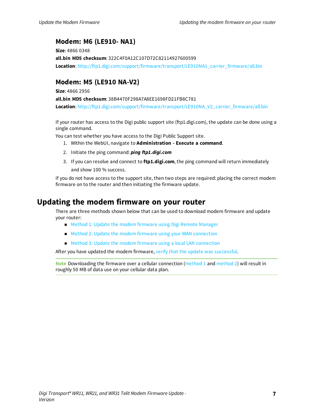### <span id="page-6-0"></span>**Modem: M6 (LE910- NA1)**

**Size**: 4866 0348 **all.bin MD5 checksum**: 322C4F0A12C107D72C82114927600599 **Location**: [http://ftp1.digi.com/support/firmware/transport/LE910NA1\\_carrier\\_firmware/all.bin](http://ftp1.digi.com/support/firmware/transport/LE910NA1_carrier_firmware/all.bin)

### <span id="page-6-1"></span>**Modem: M5 (LE910 NA-V2)**

**Size**: 4866 2956

**all.bin MD5 checksum**: 38B4470F298A7A8EE1698FD21FB8C781 **Location**: [http://ftp1.digi.com/support/firmware/transport/LE910NA\\_V2\\_carrier\\_firmware/all.bin](http://ftp1.digi.com/support/firmware/transport/LE910NA_V2_carrier_firmware/all.bin)

If your router has access to the Digi public support site (ftp1.digi.com), the update can be done using a single command.

You can test whether you have access to the Digi Public Support site.

- 1. Within the WebUI, navigate to **Administration - Execute a command**.
- 2. Initiate the ping command: *ping ftp1.digi.com*
- 3. If you can resolve and connect to **ftp1.digi.com**, the ping command will return immediately and show 100 % success.

If you do not have access to the support site, then two steps are required: placing the correct modem firmware on to the router and then initiating the firmware update.

### <span id="page-6-2"></span>**Updating the modem firmware on your router**

There are three methods shown below that can be used to download modem firmware and update your router:

- <sup>n</sup> Method 1: Update the modem [firmware](#page-7-0) using Digi Remote Manager
- Method 2: Update the modem firmware using your [WAN connection](#page-9-0)
- Method 3: Update the modem firmware using a local LAN [connection](#page-10-2)

After you have updated the modem firmware, verify that the update was successful.

**Note** Downloading the firmware over a cellular connection [\(method](#page-7-0) 1 and [method](#page-9-0) 2) will result in roughly 50 MB of data use on your cellular data plan.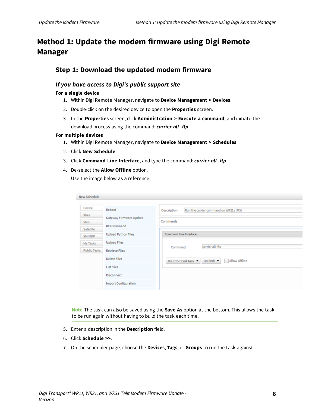# <span id="page-7-0"></span>**Method 1: Update the modem firmware using Digi Remote Manager**

### <span id="page-7-1"></span>**Step 1: Download the updated modem firmware**

#### *If you have access to Digi's public support site*

#### **For a single device**

- 1. Within Digi Remote Manager, navigate to **Device Management > Devices**.
- 2. Double-click on the desired device to open the **Properties** screen.
- 3. In the **Properties** screen, click **Administration > Execute a command**, and initiate the download process using the command: *carrier all -ftp*

#### **For multiple devices**

- 1. Within Digi Remote Manager, navigate to **Device Management > Schedules**.
- 2. Click **New Schedule**.
- 3. Click **Command Line Interface**, and type the command: *carrier all -ftp*
- 4. De-select the **Allow Offline** option.

Use the image below as a reference:

| <b>New Schedule</b> |                             |                                                                        |
|---------------------|-----------------------------|------------------------------------------------------------------------|
|                     |                             |                                                                        |
| Device              | Reboot                      | Run the carrier command on WR21s (M5)<br>Description                   |
| Xbee                | Gateway Firmware Update     |                                                                        |
| <b>SMS</b>          |                             | Commands                                                               |
| Satellite           | <b>RCI Command</b>          |                                                                        |
| SM/UDP              | <b>Upload Python Files</b>  | <b>Command Line Interface</b>                                          |
| My Tasks            | <b>Upload Files</b>         |                                                                        |
| <b>Public Tasks</b> | <b>Retrieve Files</b>       | carrier all -ftp<br>Command:                                           |
|                     | <b>Delete Files</b>         | Allow Offline<br>On End: $\blacktriangleright$<br>On Error: End Task ▼ |
|                     | <b>List Files</b>           |                                                                        |
|                     | Disconnect                  |                                                                        |
|                     | <b>Import Configuration</b> |                                                                        |
|                     |                             |                                                                        |

**Note** The task can also be saved using the **Save As** option at the bottom. This allows the task to be run again without having to build the task each time.

- 5. Enter a description in the **Description** field.
- 6. Click **Schedule >>**.
- 7. On the scheduler page, choose the **Devices**, **Tags**, or **Groups** to run the task against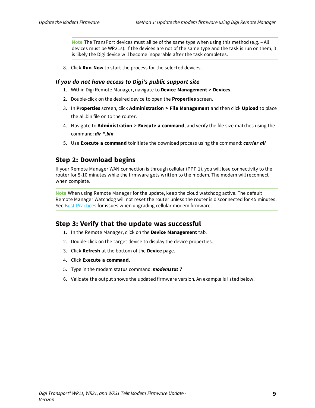**Note** The TransPort devices must all be of the same type when using this method (e.g. – All devices must be WR21s). If the devices are not of the same type and the task is run on them, it is likely the Digi device will become inoperable after the task completes.

8. Click **Run Now** to start the process for the selected devices.

#### *If you do not have access to Digi's public support site*

- 1. Within Digi Remote Manager, navigate to **Device Management > Devices**.
- 2. Double-click on the desired device to open the **Properties** screen.
- 3. In **Properties** screen, click **Administration > File Management** and then click **Upload** to place the all.bin file on to the router.
- 4. Navigate to **Administration > Execute a command**, and verify the file size matches using the command: *dir \*.bin*
- <span id="page-8-0"></span>5. Use **Execute a command** toinitiate the download process using the command: *carrier all*

### **Step 2: Download begins**

If your Remote Manager WAN connection is through cellular (PPP 1), you will lose connectivity to the router for 5-10 minutes while the firmware gets written to the modem. The modem will reconnect when complete.

**Note** When using Remote Manager for the update, keep the cloud watchdog active. The default Remote Manager Watchdog will not reset the router unless the router is disconnected for 45 minutes. See Best [Practices](#page-5-2) for issues when upgrading cellular modem firmware.

#### <span id="page-8-1"></span>**Step 3: Verify that the update was successful**

- 1. In the Remote Manager, click on the **Device Management** tab.
- 2. Double-click on the target device to display the device properties.
- 3. Click **Refresh** at the bottom of the **Device** page.
- 4. Click **Execute a command**.
- 5. Type in the modem status command: *modemstat ?*
- 6. Validate the output shows the updated firmware version. An example is listed below.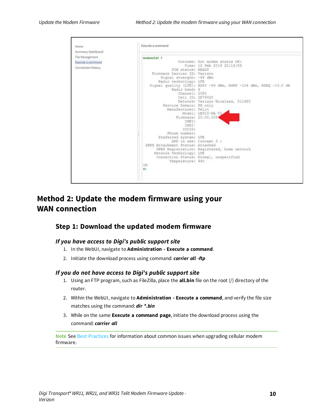

### <span id="page-9-0"></span>**Method 2: Update the modem firmware using your WAN connection**

#### <span id="page-9-1"></span>**Step 1: Download the updated modem firmware**

#### *If you have access to Digi's public support site*

- 1. In the WebUI, navigate to **Administration - Execute a command**.
- 2. Initiate the download process using command: *carrier all -ftp*

#### *If you do not have access to Digi's public support site*

- 1. Using an FTP program, such as FileZilla, place the **all.bin** file on the root (/) directory of the router.
- 2. Within the WebUI, navigate to **Administration - Execute a command**, and verify the file size matches using the command: *dir \*.bin*
- 3. While on the same **Execute a command page**, initiate the download process using the command: *carrier all*

**Note** See Best [Practices](#page-5-2) for information about common issues when upgrading cellular modem firmware.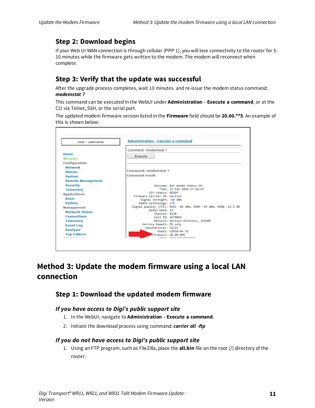### <span id="page-10-0"></span>**Step 2: Download begins**

If your Web UI WAN connection is through cellular (PPP 1), you will lose connectivity to the router for 5- 10 minutes while the firmware gets written to the modem. The modem will reconnect when complete.

### <span id="page-10-1"></span>**Step 3: Verify that the update was successful**

After the upgrade process completes, wait 10 minutes. and re-issue the modem status command: *modemstat ?*

This command can be executed in the WebUI under **Administration - Execute a command**, or at the CLI via Telnet, SSH, or the serial port.

The updated modem firmware version listed in the **Firmware** field should be **20.00.\*\*5**. An example of this is shown below:

| User: username           | <b>Administration - Execute a command</b>                       |
|--------------------------|-----------------------------------------------------------------|
|                          | Command: modemstat ?                                            |
| Home                     | Execute                                                         |
| Wizards                  |                                                                 |
| Configuration            |                                                                 |
| <b>Network</b>           |                                                                 |
| <b>Alarms</b>            | Command: modemstat ?                                            |
| System                   | <b>Command result</b>                                           |
| <b>Remote Management</b> |                                                                 |
| <b>Security</b>          | Outcome: Got modem status OK:                                   |
| <b>Telemetry</b>         | Time: 11 Feb 2019 17:26:53                                      |
| <b>Applications</b>      | SIM status: READY                                               |
| <b>Basic</b>             | Firmware Carrier ID: Verizon                                    |
| Python                   | Signal strength: -69 dBm<br>Radio technology: LTE               |
| Management               | Signal quality (LTE): RSSI -68 dBm, RSRP -99 dBm, RSRQ -12.5 dB |
| <b>Network Status</b>    | Radio band: 13                                                  |
| <b>Connections</b>       | Channel: 5230                                                   |
|                          | Cell ID: 2E79003                                                |
| <b>Telemetry</b>         | Network: Verizon Wireless, 311480<br>Service Domain: PS only    |
| <b>Event Log</b>         | Manufacturer: Telit                                             |
| <b>Analyser</b>          | Model: LE910-NA V2                                              |
| <b>Top Talkers</b><br>.  | Firmware: 20.00.005<br>THET. SEALIAACASSASAA                    |

# <span id="page-10-2"></span>**Method 3: Update the modem firmware using a local LAN connection**

### <span id="page-10-3"></span>**Step 1: Download the updated modem firmware**

#### *If you have access to Digi's public support site*

- 1. In the WebUI, navigate to **Administration - Execute a command**.
- 2. Initiate the download process using command: *carrier all -ftp*

#### *If you do not have access to Digi's public support site*

1. Using an FTP program, such as FileZilla, place the **all.bin** file on the root (/) directory of the router.